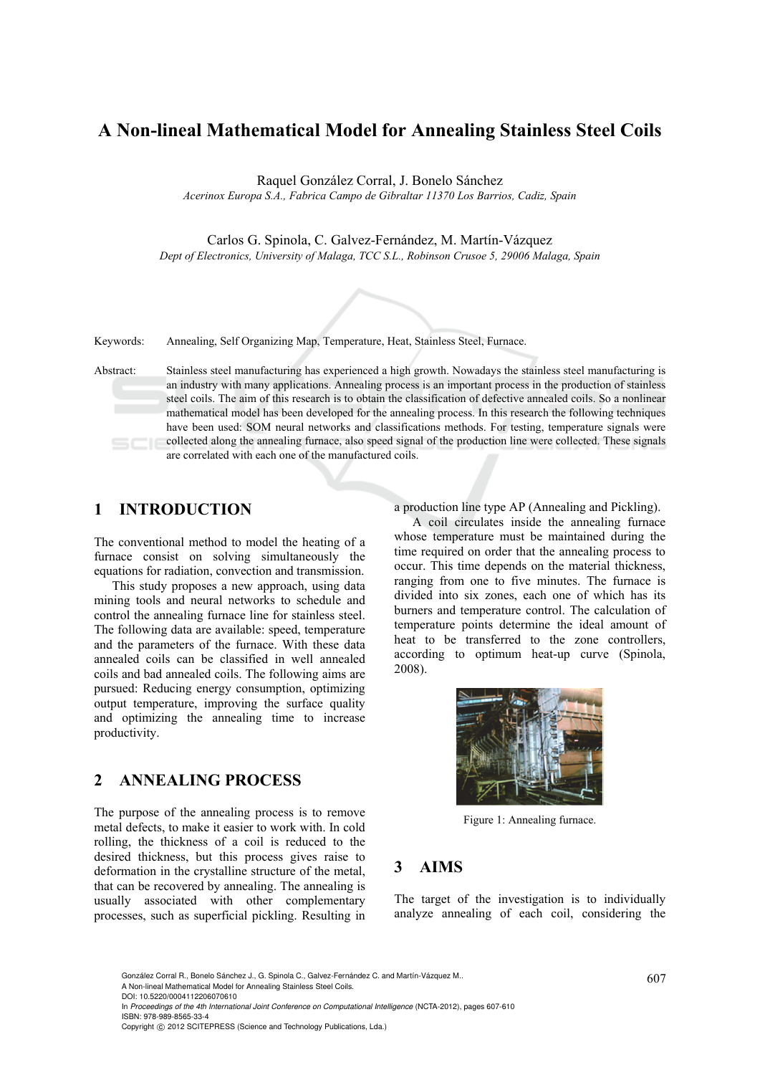# **A Non-lineal Mathematical Model for Annealing Stainless Steel Coils**

Raquel González Corral, J. Bonelo Sánchez

*Acerinox Europa S.A., Fabrica Campo de Gibraltar 11370 Los Barrios, Cadiz, Spain* 

Carlos G. Spinola, C. Galvez-Fernández, M. Martín-Vázquez

*Dept of Electronics, University of Malaga, TCC S.L., Robinson Crusoe 5, 29006 Malaga, Spain* 



Keywords: Annealing, Self Organizing Map, Temperature, Heat, Stainless Steel, Furnace.

Abstract: Stainless steel manufacturing has experienced a high growth. Nowadays the stainless steel manufacturing is an industry with many applications. Annealing process is an important process in the production of stainless steel coils. The aim of this research is to obtain the classification of defective annealed coils. So a nonlinear mathematical model has been developed for the annealing process. In this research the following techniques have been used: SOM neural networks and classifications methods. For testing, temperature signals were collected along the annealing furnace, also speed signal of the production line were collected. These signals are correlated with each one of the manufactured coils.

### **1 INTRODUCTION**

The conventional method to model the heating of a furnace consist on solving simultaneously the equations for radiation, convection and transmission.

This study proposes a new approach, using data mining tools and neural networks to schedule and control the annealing furnace line for stainless steel. The following data are available: speed, temperature and the parameters of the furnace. With these data annealed coils can be classified in well annealed coils and bad annealed coils. The following aims are pursued: Reducing energy consumption, optimizing output temperature, improving the surface quality and optimizing the annealing time to increase productivity.

## **2 ANNEALING PROCESS**

The purpose of the annealing process is to remove metal defects, to make it easier to work with. In cold rolling, the thickness of a coil is reduced to the desired thickness, but this process gives raise to deformation in the crystalline structure of the metal, that can be recovered by annealing. The annealing is usually associated with other complementary processes, such as superficial pickling. Resulting in

a production line type AP (Annealing and Pickling).

A coil circulates inside the annealing furnace whose temperature must be maintained during the time required on order that the annealing process to occur. This time depends on the material thickness, ranging from one to five minutes. The furnace is divided into six zones, each one of which has its burners and temperature control. The calculation of temperature points determine the ideal amount of heat to be transferred to the zone controllers, according to optimum heat-up curve (Spinola, 2008).



Figure 1: Annealing furnace.

### **3 AIMS**

The target of the investigation is to individually analyze annealing of each coil, considering the

González Corral R., Bonelo Sánchez J., G. Spinola C., Galvez-Fernández C. and Martín-Vázquez M.. (607) A Non-lineal Mathematical Model for Annealing Stainless Steel Coils. DOI: 10.5220/0004112206070610

In *Proceedings of the 4th International Joint Conference on Computational Intelligence* (NCTA-2012), pages 607-610 ISBN: 978-989-8565-33-4

Copyright © 2012 SCITEPRESS (Science and Technology Publications, Lda.)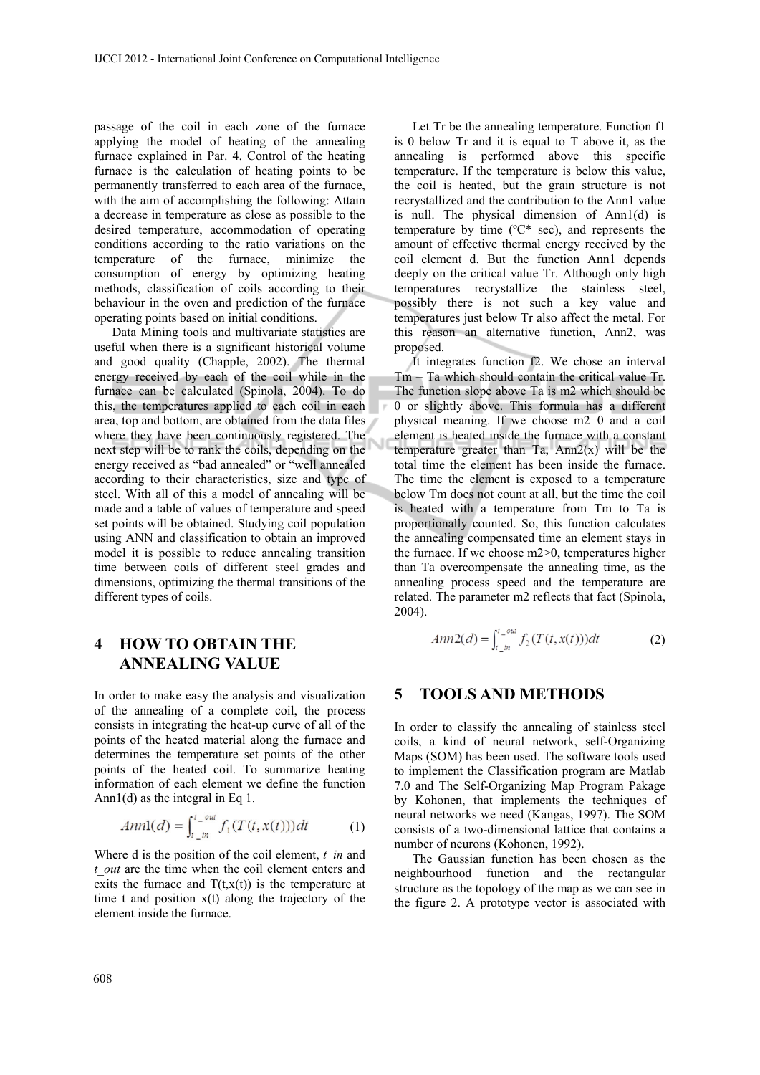passage of the coil in each zone of the furnace applying the model of heating of the annealing furnace explained in Par. 4. Control of the heating furnace is the calculation of heating points to be permanently transferred to each area of the furnace, with the aim of accomplishing the following: Attain a decrease in temperature as close as possible to the desired temperature, accommodation of operating conditions according to the ratio variations on the temperature of the furnace, minimize the consumption of energy by optimizing heating methods, classification of coils according to their behaviour in the oven and prediction of the furnace operating points based on initial conditions.

Data Mining tools and multivariate statistics are useful when there is a significant historical volume and good quality (Chapple, 2002). The thermal energy received by each of the coil while in the furnace can be calculated (Spinola, 2004). To do this, the temperatures applied to each coil in each area, top and bottom, are obtained from the data files where they have been continuously registered. The next step will be to rank the coils, depending on the energy received as "bad annealed" or "well annealed according to their characteristics, size and type of steel. With all of this a model of annealing will be made and a table of values of temperature and speed set points will be obtained. Studying coil population using ANN and classification to obtain an improved model it is possible to reduce annealing transition time between coils of different steel grades and dimensions, optimizing the thermal transitions of the different types of coils.

### **4 HOW TO OBTAIN THE ANNEALING VALUE**

In order to make easy the analysis and visualization of the annealing of a complete coil, the process consists in integrating the heat-up curve of all of the points of the heated material along the furnace and determines the temperature set points of the other points of the heated coil. To summarize heating information of each element we define the function Ann1(d) as the integral in Eq 1.

$$
4nn1(d) = \int_{t_{\perp}in}^{t_{\perp}out} f_1(T(t, x(t)))dt
$$
 (1)

Where d is the position of the coil element, *t in* and *t\_out* are the time when the coil element enters and exits the furnace and  $T(t,x(t))$  is the temperature at time t and position  $x(t)$  along the trajectory of the element inside the furnace.

Let Tr be the annealing temperature. Function f1 is 0 below Tr and it is equal to T above it, as the annealing is performed above this specific temperature. If the temperature is below this value, the coil is heated, but the grain structure is not recrystallized and the contribution to the Ann1 value is null. The physical dimension of Ann1(d) is temperature by time (ºC\* sec), and represents the amount of effective thermal energy received by the coil element d. But the function Ann1 depends deeply on the critical value Tr. Although only high temperatures recrystallize the stainless steel, possibly there is not such a key value and temperatures just below Tr also affect the metal. For this reason an alternative function, Ann2, was proposed.

It integrates function f2. We chose an interval Tm – Ta which should contain the critical value Tr. The function slope above Ta is m2 which should be 0 or slightly above. This formula has a different physical meaning. If we choose m2=0 and a coil element is heated inside the furnace with a constant temperature greater than  $Ta$ ,  $Ann2(x)$  will be the total time the element has been inside the furnace. The time the element is exposed to a temperature below Tm does not count at all, but the time the coil is heated with a temperature from Tm to Ta is proportionally counted. So, this function calculates the annealing compensated time an element stays in the furnace. If we choose m2>0, temperatures higher than Ta overcompensate the annealing time, as the annealing process speed and the temperature are related. The parameter m2 reflects that fact (Spinola, 2004).

$$
Ann2(d) = \int_{t_{\perp}in}^{t_{\perp}out} f_2(T(t, x(t)))dt
$$
 (2)

#### **5 TOOLS AND METHODS**

In order to classify the annealing of stainless steel coils, a kind of neural network, self-Organizing Maps (SOM) has been used. The software tools used to implement the Classification program are Matlab 7.0 and The Self-Organizing Map Program Pakage by Kohonen, that implements the techniques of neural networks we need (Kangas, 1997). The SOM consists of a two-dimensional lattice that contains a number of neurons (Kohonen, 1992).

The Gaussian function has been chosen as the neighbourhood function and the rectangular structure as the topology of the map as we can see in the figure 2. A prototype vector is associated with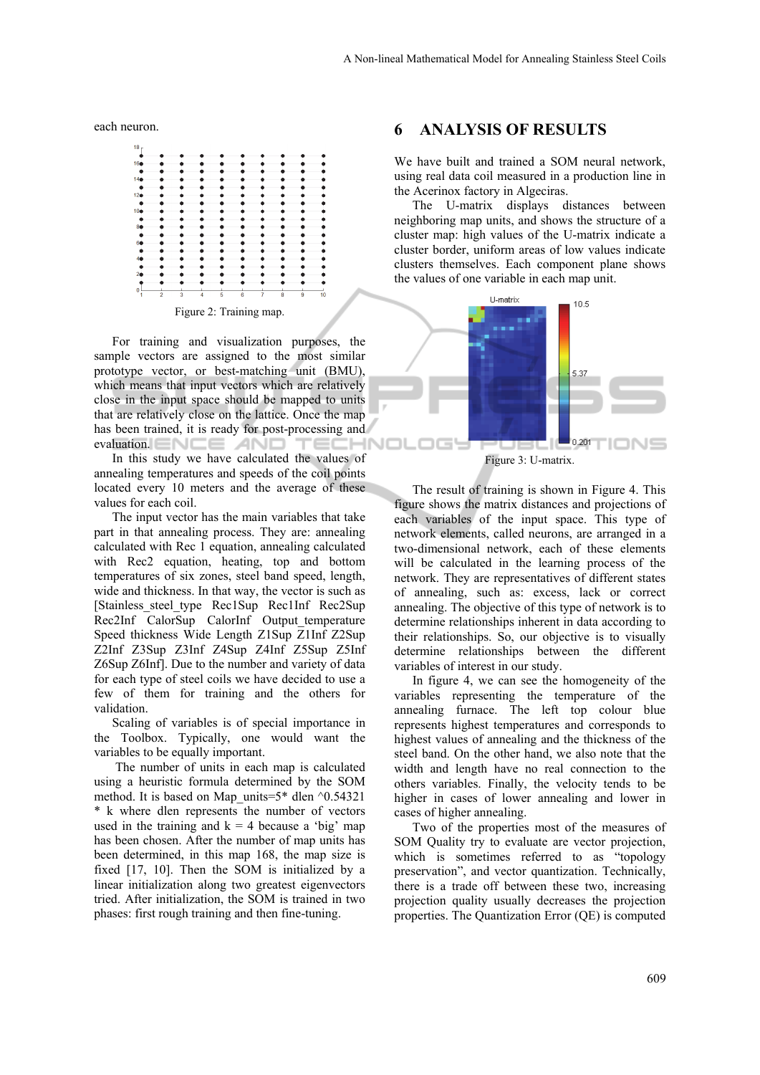each neuron.



For training and visualization purposes, the sample vectors are assigned to the most similar prototype vector, or best-matching unit (BMU), which means that input vectors which are relatively close in the input space should be mapped to units that are relatively close on the lattice. Once the map has been trained, it is ready for post-processing and evaluation. ENCE AND TECHI

In this study we have calculated the values of annealing temperatures and speeds of the coil points located every 10 meters and the average of these values for each coil.

The input vector has the main variables that take part in that annealing process. They are: annealing calculated with Rec 1 equation, annealing calculated with Rec2 equation, heating, top and bottom temperatures of six zones, steel band speed, length, wide and thickness. In that way, the vector is such as [Stainless\_steel\_type Rec1Sup Rec1Inf Rec2Sup Rec2Inf CalorSup CalorInf Output temperature Speed thickness Wide Length Z1Sup Z1Inf Z2Sup Z2Inf Z3Sup Z3Inf Z4Sup Z4Inf Z5Sup Z5Inf Z6Sup Z6Inf]. Due to the number and variety of data for each type of steel coils we have decided to use a few of them for training and the others for validation.

Scaling of variables is of special importance in the Toolbox. Typically, one would want the variables to be equally important.

 The number of units in each map is calculated using a heuristic formula determined by the SOM method. It is based on Map units=5\* dlen  $\textdegree$ 0.54321 \* k where dlen represents the number of vectors used in the training and  $k = 4$  because a 'big' map has been chosen. After the number of map units has been determined, in this map 168, the map size is fixed [17, 10]. Then the SOM is initialized by a linear initialization along two greatest eigenvectors tried. After initialization, the SOM is trained in two phases: first rough training and then fine-tuning.

#### **6 ANALYSIS OF RESULTS**

We have built and trained a SOM neural network, using real data coil measured in a production line in the Acerinox factory in Algeciras.

The U-matrix displays distances between neighboring map units, and shows the structure of a cluster map: high values of the U-matrix indicate a cluster border, uniform areas of low values indicate clusters themselves. Each component plane shows the values of one variable in each map unit.



The result of training is shown in Figure 4. This figure shows the matrix distances and projections of each variables of the input space. This type of network elements, called neurons, are arranged in a two-dimensional network, each of these elements will be calculated in the learning process of the network. They are representatives of different states of annealing, such as: excess, lack or correct annealing. The objective of this type of network is to determine relationships inherent in data according to their relationships. So, our objective is to visually determine relationships between the different variables of interest in our study.

In figure 4, we can see the homogeneity of the variables representing the temperature of the annealing furnace. The left top colour blue represents highest temperatures and corresponds to highest values of annealing and the thickness of the steel band. On the other hand, we also note that the width and length have no real connection to the others variables. Finally, the velocity tends to be higher in cases of lower annealing and lower in cases of higher annealing.

Two of the properties most of the measures of SOM Quality try to evaluate are vector projection, which is sometimes referred to as "topology preservation", and vector quantization. Technically, there is a trade off between these two, increasing projection quality usually decreases the projection properties. The Quantization Error (QE) is computed